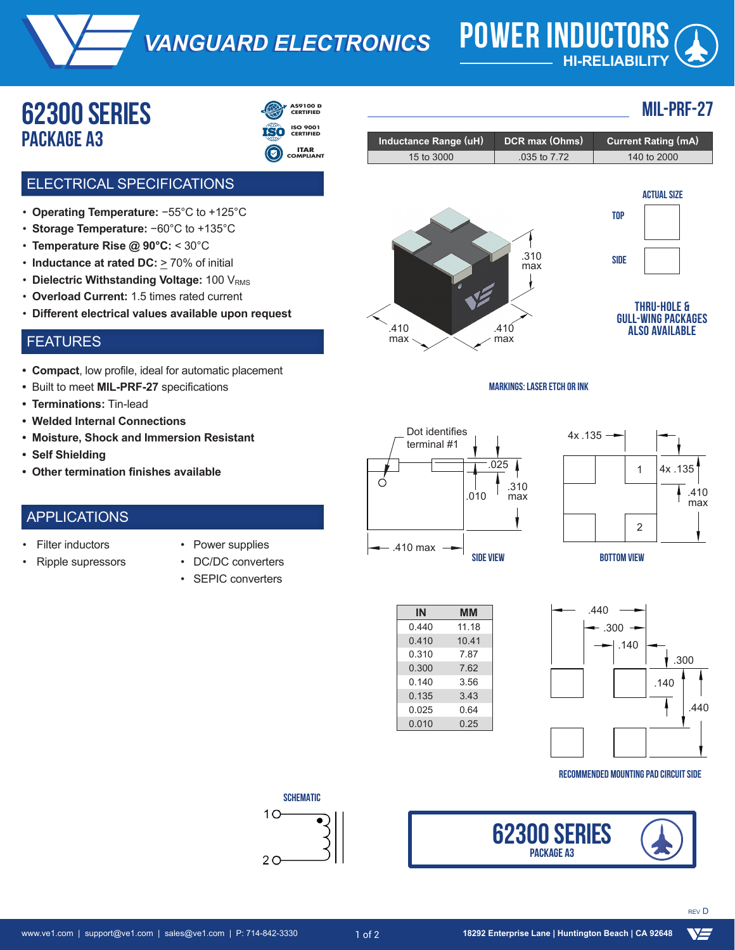*VANGUARD ELECTRONICS VANGUARD ELECTRONICS* **POWER INDUCTORS**

# **HI-RELIABILITY**

**MIL-PRF-27**

# **62300 serieS package a3**



- 
- **ITAR COMPLIANT**

### ELECTRICAL SPECIFICATIONS

- **Operating Temperature:** −55°C to +125°C
- **Storage Temperature:** −60°C to +135°C
- **Temperature Rise @ 90°C:** < 30°C
- Inductance at rated DC: > 70% of initial
- Dielectric Withstanding Voltage: 100 V<sub>RMS</sub>
- **Overload Current:** 1.5 times rated current
- **Different electrical values available upon request**

#### FEATURES

- **• Compact**, low profile, ideal for automatic placement
- **•** Built to meet **MIL-PRF-27** specifications
- **• Terminations:** Tin-lead
- **• Welded Internal Connections**
- **• Moisture, Shock and Immersion Resistant**
- **• Self Shielding**
- **• Other termination finishes available**

#### APPLICATIONS

**Filter inductors** 

• Ripple supressors

- Power supplies
- DC/DC converters
	- SEPIC converters

| مالكامل والمتفقات المتعاقلة |                            |                                                                                                                                 |
|-----------------------------|----------------------------|---------------------------------------------------------------------------------------------------------------------------------|
| 15 to 3000                  | .035 to 7.72               | 140 to 2000                                                                                                                     |
| .410<br>max                 | .310<br>max<br>.410<br>max | <b>ACTUAL SIZE</b><br><b>TOP</b><br><b>SIDE</b><br><b>THRU-HOLE &amp;</b><br><b>GULL-WING PACKAGES</b><br><b>ALSO AVAILABLE</b> |

**Inductance Range (uH) DCR max (Ohms) Current Rating (mA)**











**RECOMMENDED MOUNTING PAD CIRCUIT SIDE**



**SCHEMATIC** 

 $\bullet$ 

 $10$ 

 $2<sub>O</sub>$